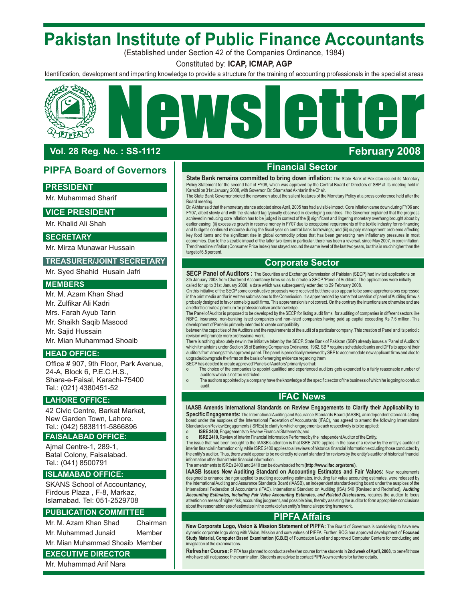# **Pakistan Institute of Public Finance Accountants**

(Established under Section 42 of the Companies Ordinance, 1984)

Constituted by: **ICAP, ICMAP, AGP**

Identification, development and imparting knowledge to provide a structure for the training of accounting professionals in the specialist areas

# Ne W sletter LIPEA

# **Vol. 28 Reg. No. : SS-1 112**

# **PIPFA Board of Governors**

# **PRESIDENT**

Mr. Muhammad Sharif

# **VICE PRESIDENT**

Mr. Khalid Ali Shah

# **SECRETARY**

Mr. Mirza Munawar Hussain

# **TREASURER/JOINT SECRETARY**

Mr. Syed Shahid Husain Jafri

## **MEMBERS**

Mr. M. Azam Khan Shad Mr. Zulfikar Ali Kadri Mrs. Farah Ayub Tarin Mr. Shaikh Saqib Masood Mr. Sajid Hussain Mr. Mian Muhammad Shoaib

# **HEAD OFFICE:**

Office # 907, 9th Floor, Park Avenue, 24-A, Block 6, P.E.C.H.S., Shara-e-Faisal, Karachi-75400 Tel.: (021) 4380451-52

# **LAHORE OFFICE:**

42 Civic Centre, Barkat Market, New Garden Town, Lahore. Tel.: (042) 5838111-5866896

## **FAISALABAD OFFICE:**

Ajmal Centre-1, 289-1, Batal Colony, Faisalabad. Tel.: (041) 8500791

# **ISLAMABAD OFFICE:**

SKANS School of Accountancy, Firdous Plaza , F-8, Markaz, Islamabad. Tel: 051-2529708

## **PUBLICATION COMMITTEE**

| Mr. M. Azam Khan Shad | Chairman |
|-----------------------|----------|
| Mr. Muhammad Junaid   | Member   |

Mr. Mian Muhammad Shoaib Member

# **EXECUTIVE DIRECTOR**

Mr. Muhammad Arif Nara

# **Financial Sector**

**February 2008**

**State Bank remains committed to bring down inflation:** The State Bank of Pakistan issued its Monetary Policy Statement for the second half of FY08, which was approved by the Central Board of Directors of SBP at its meeting held in Karachi on 31st January, 2008, with Governor, Dr. Shamshad Akhtar in the Chair

The State Bank Governor briefed the newsmen about the salient features of the Monetary Policy at a press conference held after the Board meeting.

Dr. Akhtar said that the monetary stance adopted since April, 2005 has had a visible impact. Core inflation came down during FY06 and FY07, albeit slowly and with the standard lag typically observed in developing countries. The Governor explained that the progress achieved in reducing core inflation has to be judged in context of the (i) significant and lingering monetary overhang brought about by earlier easing; (ii) excessive growth in reserve money in FY07 due to exceptional requirements of the textile industry for re-financing and budget's continued recourse during the fiscal year on central bank borrowings; and (iii) supply management problems affecting<br>key food items and the significant rise in global commodity prices that has been generating economies. Due to the sizeable impact of the latter two items in particular, there has been a reversal, since May 2007, in core inflation. Trend headline inflation (Consumer Price Index) has stayed around the same level of the last two years, but this is much higher than the target of 6.5 percent.

# **Corporate Sector**

**SECP Panel of Auditors :** The Securities and Exchange Commission of Pakistan (SECP) had invited applications on 8th January 2008 from Chartered Accountancy firms so as to create a SECP 'Panel of Auditors'. The applications were initially

called for up to 31st January 2008, a date which was subsequently extended to 29 February 2008.<br>On this initiative of the SECP some constructive proposals were received but there also appear to be some apprehensions expres in the print media and/or in written submissions to the Commission. It is apprehended by some that creation of panel of Auditing firms is probably designed to favor some big audit firms. This apprehension is not correct. On the contrary the intentions are otherwise and are

an effort to create a premium for professionalism and knowledge.<br>The Panel of Auditor is proposed to be developed by the SECP for listing audit firms for auditing of companies in different sectors like NBFC, insurance, non-banking listed companies and non-listed companies having paid up capital exceeding Rs 7.5 million. This development of Panel is primarily intended to create compatibility

between the capacities of the Auditors and the requirements of the audit of a particular company. This creation of Panel and its periodic revision will promote more professional work.

There is nothing absolutely new in the initiative taken by the SECP. State Bank of Pakistan (SBP) already issues a 'Panel of Auditors' which it maintains under Section 35 of Banking Companies Ordinance, 1962. SBP requires scheduled banks and DFI's to appoint their auditors from amongst this approved panel. The panel is periodically reviewed by SBP to accommodate new applicant firms and also to upgrade/downgrade the firms on the basis of emerging evidence regarding them.

SECP has decided to create approved 'Panels of Auditors' primarily so that:

o The choice of the companies to appoint qualified and experienced auditors gets expanded to a fairly reasonable number of auditors which is not too restricted.

o The auditors appointed by a company have the knowledge of the specific sector of the business of which he is going to conduct audit.

# **IFAC News**

### **IAASB Amends International Standards on Review Engagements to Clarify their Applicability to**

**Specific Engagements:** The International Auditing and Assurance Standards Board (IAASB), an independent standard-setting board under the auspices of the International Federation of Accountants (IFAC), has agreed to amend the following International Standards on Review Engagements (ISREs) to clarify to which engagements each respectively is to be applied:

o **ISRE 2400**, Engagements to Review Financial Statements; and

o **SIRE 2410,** Review of Interim Financial Information Performed by the Independent Auditor of the Entity.<br>The issue that had been brought to the IAASB's attention is that ISRE 2410 applies in the case of a review by the e interim financial information only, while ISRE 2400 applies to all reviews of historical financial information excluding those conducted by the entity's auditor. Thus, there would appear to be no directly relevant standard for reviews by the entity's auditor of historical financial information other than interim financial information.

### The amendments to ISREs 2400 and 2410 can be downloaded from **(http://www.ifac.org/store/).**

**IAASB Issues New Auditing Standard on Accounting Estimates and Fair Values: New requirements** designed to enhance the rigor applied to auditing accounting estimates, including fair value accounting estimates, were released by the International Auditing and Assurance Standards Board (IAASB), an independent standard-setting board under the auspices of the<br>International Federation of Accountants (IFAC). International Standard on Auditing (ISA) 540 *Accounting Estimates, Including Fair Value Accounting Estimates, and Related Disclosures,* requires the auditor to focus attention on areas of higher risk, accounting judgment, and possible bias, thereby assisting the auditor to form appropriate conclusions about the reasonableness of estimates in the context of an entity's financial reporting framework.

# **PIPFA Affairs**

**New Corporate Logo, Vision & Mission Statement of PIPFA:** The Board of Governors is considering to have new dynamic corporate logo along with Vision, Mission and core values of PIPFA. Further, BOG has approved development of **Focused Study Material, Computer Based Examination (C.B.E)** of Foundation Level and approved Computer Centers for conducting and invigilation of the examinations.

**Refresher Course:** PIPFAhas planned to conduct a refresher course for the students in **2nd week of April, 2008,** to benefit those who have still not passed the examination. Students are advise to contact PIPFAown centers for further details.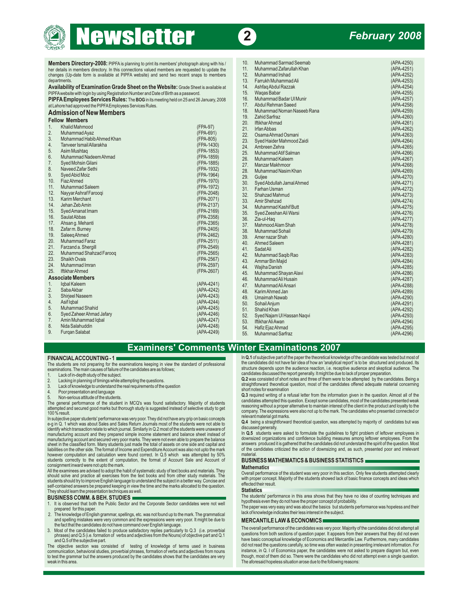# **ews etter 2**

# *February 2008*

| i ii i Awebsite with login by dailig i segistration i Number and Date of Dinnias a password. | <b>Truyus Dubul</b>                                           | 11 11 7 TLUU             |
|----------------------------------------------------------------------------------------------|---------------------------------------------------------------|--------------------------|
| PIPFA Employees Services Rules: The BOG in its meeting held on 25 and 26 January, 2008       | Muhammad Badar Ul Munir<br>16.                                | (APA-4257)               |
| at Lahore had approved the PIPFA Employees Services Rules.                                   | 17 <sub>1</sub><br>Abdul Rehman Saeed                         | (APA-4258)               |
| <b>Admission of New Members</b>                                                              | 18.<br>Muhammad Noman Naseeb Rana                             | (APA-4259)               |
| <b>Fellow Members</b>                                                                        | 19.<br><b>Zahid Sarfraz</b>                                   | (APA-4260)               |
| <b>Khalid Mahmood</b><br>(FPA-97)<br>1.                                                      | 20.<br><b>Iftikhar Ahmad</b>                                  | (APA-4261)               |
| 2.<br>Muhammad Ayaz<br>(FPA-691)                                                             | 21.<br><b>Irfan Abbas</b>                                     | (APA-4262)               |
| 3.<br>Mohammad Habib Ahmed Khan<br>(FPA-805)                                                 | Osama Ahmad Osmani<br>22.                                     | (APA-4263)               |
| 4.<br>Tanveer Ismail Allarakha<br>(FPA-1430)                                                 | 23.<br>Syed Haider Mahmood Zaidi                              | (APA-4264)               |
| 5.<br>(FPA-1853)<br>Asim Mushtag                                                             | 24.<br>Ambreen Zehra                                          | (APA-4265)               |
| 6.<br>Muhammad Nadeem Ahmad<br>(FPA-1859)                                                    | 25.<br>Muhammad Atif Salman                                   | (APA-4266)               |
| 7.<br>Syed Mohsin Gilani<br>(FPA-1885)                                                       | 26.<br>Muhammad Kaleem                                        | (APA-4267)               |
| 8.<br>Naveed Zafar Sethi<br>(FPA-1932)                                                       | 27.<br>Manzar Makhmoor                                        | (APA-4268)               |
| 9.<br>(FPA-1964)<br>Syed Abid Moiz                                                           | 28.<br>Muhammad Nasim Khan                                    | (APA-4269)               |
| 10 <sub>1</sub><br><b>Fiaz Ahmed</b><br>(FPA-1970)                                           | 29.<br>Guljee                                                 | (APA-4270)               |
| Muhammad Saleem<br>11.<br>(FPA-1972)                                                         | Syed Abdullah Jamal Ahmed<br>30.                              | (APA-4271)               |
| 12.<br>Nayyar Ashraf Faroogi<br>(FPA-2048)                                                   | 31.<br>Farhan Usman                                           | (APA-4272)               |
| 13.<br><b>Karim Merchant</b><br>(FPA-2071)                                                   | 32.<br>Shahzad Mahmud                                         | (APA-4273)               |
| 14.<br>Jehan Zeb Amin<br>(FPA-2137)                                                          | 33.<br>Amir Shehzad                                           | (APA-4274)               |
| 15.<br>Syed Amanat Imam<br>(FPA-2169)                                                        | 34.<br>Muhammad Kashif Butt                                   | (APA-4275)               |
| 16.<br>Saulat Abbas<br>(FPA-2358)                                                            | 35.<br>Syed Zeeshan Ali Warsi                                 | (APA-4276)               |
| Ahsan g. Mehanti<br>17.<br>(FPA-2365)                                                        | 36.<br>Zia-ul-Haq                                             | (APA-4277)               |
| (FPA-2405)<br>18.<br>Zafar m. Burney                                                         | 37.<br>Mahmood Alam Shah                                      | (APA-4278)               |
| 19.<br>Saleeg Ahmed<br>(FPA-2462)                                                            | 38.<br>Muhammad Sohail                                        | (APA-4279)               |
| Muhammad Faraz<br>20.<br>(FPA-2511)                                                          | 39.<br>Amer nazar Shah                                        | (APA-4280)               |
| 21.<br>Farzand a. Shergill<br>(FPA-2549)                                                     | 40.<br>Ahmed Saleem                                           | (APA-4281)               |
| 22.<br>(FPA-2565)<br>Muhammad Shahzad Farooq                                                 | 41.<br><b>SadatAli</b>                                        | (APA-4282)               |
| 23.<br>Shaikh Ovais<br>(FPA-2567)                                                            | 42.<br>Muhammad Saqib Rao                                     | (APA-4283)               |
| 24.<br>Muhammad Imran<br>(FPA-2597)                                                          | 43.<br>Ammar Bin Majid                                        | (APA-4284)               |
| 25.<br><b>Iftikhar Ahmed</b><br>(FPA-2607)                                                   | 44.<br>Wajiha Danish                                          | (APA-4285)               |
| <b>Associate Members</b>                                                                     | Muhammad Shayan Alavi<br>45.                                  | (APA-4286)               |
| Igbal Kaleem<br>(APA-4241)<br>1.                                                             | 46.<br>Muhammad Ali Husain                                    | (APA-4287)               |
| 2.<br>Saba Akbar<br>(APA-4242)                                                               | 47.<br>Muhammad Ali Ansari                                    | (APA-4288)               |
| 3.<br>Shirjeel Naseem<br>(APA-4243)                                                          | 48.<br>Karim Ahmed Jan<br>49.                                 | (APA-4289)               |
| 4.<br>(APA-4244)<br>Asif Iqbal                                                               | Umaimah Nawab                                                 | (APA-4290)               |
| 5.<br>Muhammad Shahid<br>(APA-4245)                                                          | 50.<br><b>Sohail Anjum</b>                                    | (APA-4291)               |
| 6.<br>Syed Zaheer Ahmad Jafary<br>(APA-4246)                                                 | 51.<br>Shahid Khan                                            | (APA-4292)               |
| 7.<br>Amin Muhammad Iqbal<br>(APA-4247)                                                      | 52.<br>Syed Najam Ul Hassan Naqvi<br>53.<br>Iftikhar Ali Awan | (APA-4293)               |
| 8.<br>Nida Salahuddin<br>(APA-4248)                                                          | 54.                                                           | (APA-4294)<br>(APA-4295) |
| 9.<br><b>Furgan Salabat</b><br>(APA-4249)                                                    | Hafiz Ejaz Ahmad                                              |                          |
|                                                                                              | 55.<br><b>Muhammad Sarfraz</b>                                | (APA-4296)               |

| <b>Members Directory-2008:</b> PIPFA is planning to print its members' photograph along with his / |                             |              | 10.             | Muhammad Sarmad Seemab     | (APA-4250) |
|----------------------------------------------------------------------------------------------------|-----------------------------|--------------|-----------------|----------------------------|------------|
| her details in members directory. In this connections valued members are requested to update the   |                             |              | 11.             | Muhammad Zafarullah Khan   | (APA-4251) |
| changes (Up-date form is available at PIPFA website) and send two recent snaps to members          |                             |              | 12.             | Muhammad Irshad            | (APA-4252) |
| departments.                                                                                       |                             |              | 13.             | Farrukh Muhammad Ali       | (APA-4253) |
| Availability of Examination Grade Sheet on the Website: Grade Sheet is available at                |                             |              | 14.             | Ashfaq Abdul Razzak        | (APA-4254) |
| PIPFA website with login by using Registration Number and Date of Birth as a password.             |                             |              | 15.             | Wagas Babar                | (APA-4255) |
| PIPFA Employees Services Rules: The BOG in its meeting held on 25 and 26 January, 2008             |                             |              | 16.             | Muhammad Badar Ul Munir    | (APA-4257) |
| at Lahore had approved the PIPFA Employees Services Rules.                                         |                             |              | 17 <sub>1</sub> | Abdul Rehman Saeed         | (APA-4258) |
| Admission of New Members                                                                           |                             |              |                 | Muhammad Noman Naseeb Rana | (APA-4259) |
| <b>Fellow Members</b>                                                                              |                             |              |                 | Zahid Sarfraz              | (APA-4260) |
|                                                                                                    |                             |              | 20.             | <b>Iftikhar Ahmad</b>      | (APA-4261) |
| 1.                                                                                                 | Khalid Mahmood              | (FPA-97)     | 21.             | <b>Irfan Abbas</b>         | (APA-4262) |
| 2.                                                                                                 | Muhammad Ayaz               | (FPA-691)    | 22.             | Osama Ahmad Osmani         | (APA-4263) |
| 3.                                                                                                 | Mohammad Habib Ahmed Khan   | (FPA-805)    | 23.             | Syed Haider Mahmood Zaidi  | (APA-4264) |
| 4.                                                                                                 | Tanveer Ismail Allarakha    | (FPA-1430)   | 24.             | Ambreen Zehra              | (APA-4265) |
| 5.                                                                                                 | Asim Mushtag                | (FPA-1853)   | 25.             | Muhammad Atif Salman       | (APA-4266) |
| 6.                                                                                                 | Muhammad Nadeem Ahmad       | (FPA-1859)   | 26.             | Muhammad Kaleem            | (APA-4267) |
| 7.                                                                                                 | Syed Mohsin Gilani          | (FPA-1885)   | 27.             | Manzar Makhmoor            | (APA-4268) |
| 8.                                                                                                 | Naveed Zafar Sethi          | (FPA-1932)   | 28.             | Muhammad Nasim Khan        | (APA-4269) |
| 9.                                                                                                 | Syed Abid Moiz              | (FPA-1964)   | 29.             | Guliee                     | (APA-4270) |
| 10.                                                                                                | Fiaz Ahmed                  | (FPA-1970)   | 30.             | Syed Abdullah Jamal Ahmed  | (APA-4271) |
| 11.                                                                                                | Muhammad Saleem             | (FPA-1972)   | 31.             | Farhan Usman               | (APA-4272) |
| 12.                                                                                                | Nayyar Ashraf Faroogi       | (FPA-2048)   | 32.             | Shahzad Mahmud             | (APA-4273) |
| 13.                                                                                                | Karim Merchant              | (FPA-2071)   | 33.             | Amir Shehzad               | (APA-4274) |
| 14.                                                                                                | Jehan Zeb Amin              | (FPA-2137)   | 34.             | Muhammad Kashif Butt       | (APA-4275) |
| 15.                                                                                                | Syed Amanat Imam            | (FPA-2169)   | 35.             | Syed Zeeshan Ali Warsi     | (APA-4276) |
| 16.                                                                                                | Saulat Abbas                | (FPA-2358)   | 36.             | Zia-ul-Hag                 | (APA-4277) |
|                                                                                                    | 17. Ahsan g. Mehanti        | (FPA-2365)   | 37.             | Mahmood Alam Shah          | (APA-4278) |
|                                                                                                    | 18. Zafarm. Burney          | (FPA-2405)   | 38.             | Muhammad Sohail            | (APA-4279) |
| 19.                                                                                                | Saleeg Ahmed                | (FPA-2462)   | 39.             | Amer nazar Shah            | (APA-4280) |
|                                                                                                    | 20. Muhammad Faraz          | (FPA-2511)   | 40.             | Ahmed Saleem               | (APA-4281) |
| 21.                                                                                                | Farzand a. Shergill         | (FPA-2549)   | 41.             | SadatAli                   | (APA-4282) |
| 22.                                                                                                | Muhammad Shahzad Farooq     | (FPA-2565)   | 42.             | Muhammad Saqib Rao         | (APA-4283) |
| 23.                                                                                                | Shaikh Ovais                | (FPA-2567)   | 43.             | Ammar Bin Majid            | (APA-4284) |
| 24.                                                                                                | Muhammad Imran              | (FPA-2597)   | 44.             | Wajiha Danish              | (APA-4285) |
| 25.                                                                                                | <b>Iftikhar Ahmed</b>       | (FPA-2607)   | 45.             | Muhammad Shayan Alavi      | (APA-4286) |
| <b>Associate Members</b>                                                                           |                             |              | 46.             | Muhammad Ali Husain        | (APA-4287) |
| 1.                                                                                                 | Iqbal Kaleem                | (APA-4241)   | 47.             | Muhammad Ali Ansari        | (APA-4288) |
| 2.                                                                                                 | Saba Akbar                  | (APA-4242)   | 48.             | Karim Ahmed Jan            | (APA-4289) |
| 3.                                                                                                 | Shirjeel Naseem             | (APA-4243)   | 49.             | Umaimah Nawab              | (APA-4290) |
| 4.                                                                                                 | Asif Igbal                  | (APA-4244)   | 50.             | Sohail Anjum               | (APA-4291) |
| 5.                                                                                                 | Muhammad Shahid             | (APA-4245)   | 51.             | Shahid Khan                | (APA-4292) |
| 6.                                                                                                 | Syed Zaheer Ahmad Jafary    | (APA-4246)   | 52.             | Syed Najam Ul Hassan Naqvi | (APA-4293) |
| 7.                                                                                                 | Amin Muhammad Iqbal         | (APA-4247)   | 53.             | Iftikhar Ali Awan          | (APA-4294) |
| 8.                                                                                                 | Nida Salahuddin             | (APA-4248)   | 54.             | Hafiz Ejaz Ahmad           | (APA-4295) |
|                                                                                                    | $\sim$ $\sim$ $\sim$ $\sim$ | $D^4$ $1010$ |                 |                            |            |

# **Examiners' Comments Winter Examinations 2007**

The students are not preparing for the examinations keeping in view the standard of professional examinations. The main causes of failure of the candidates are as follows:

- 
- 
- 
- 
- 

They are through the section of the students' performance was very poor. They did not have any grip on basic concepts<br>
e-g in Q. 1 which was about Sales and Sales Return Journals most of the students were not able to<br>
iden manufacturing account and they prepared simple income statement and balance sheet instead of local products were asked to formulate the guidelines to fight problem of leftover employees in<br>manufacturing account and secured liabilities on the other side. The format of Income and Expenditure Account was also not upto the mark of the candidates criticized the action of downsizing and, as such, presented poor and irrelevant<br>however computation a students correctly to the extent of computation, the format of Account Sale and Account of **BUSINESS MATHEMATICS & BUSINESS STATISTICS** 

net in the examines are advised to adopt the habit of systematic study of text books and materials. They<br>All the examines are advised to adopt the habit of systematic study of text books and from other study materials. The self-contained answers be prepared keeping in view the time and the marks allocated to the question.<br>They should learn the presentation techniques as well.<br>**BUSINESS COMM. & BEH. STUDIES** 

- 
- 2. The knowledge of English grammar, spellings, etc. was not found up to the mark. The grammatical lack of knowledge indicates their less interest in the subject. and spelling mistakes were very common and the expressions were very poor. It might be due to **MERCANTILE LAW & ECONOMICS**
- 

to test the grammar but the answers produced by the candidates shows that the candidates are very though, most of them did so. There were the candidates who did not attempt even a single question.<br>Weak in this area who did

**FINANCIALACCOUNTING - 1 In Q.1** of subjective part of the paper the theoretical knowledge of the candidate was tested but most of the students are not preparing for the examinations keeping in view the standard of profe structure depends upon the audience reaction, i.e. receptive audience and skeptical audience. The included and structure depends upon the audience reaction, i.e. receptive audience and skeptical audience. The candidates ar

1. Lack of in-depth study of the subject.<br>2. Lacking in planning of timings while attempting the questions. **Example 2.** Capacity of short notes and three of them were to be attempted by the candidates. Being a capacity of

2. Lacking in planning of timings while attempting the questions.<br>
3. Lack of knowledge to understand the real requirements of the question<br>
3. Lack of knowledge to understand the real requirements of the question<br>
3. Non-

downsized organizations and confidence building measures among leftover employees. From the answers produced it is gathered that the candidates did not understand the spirit of the question. Most of the candidates criticiz

**The students' performance in this area shows that they have no idea of counting techniques and it is observed that both the Public Sector and the Corporate Sector candidates were not well the proper seven they do not have** 

It is observed that both the Public Sector and the Corporate Sector candidates were not well<br>The paper was very easy and was about the basics but students performance was hopeless and their<br>The knowledge indicates their le

and spelling mistakes were very common and the expressions were very poor. It might be due to<br>
the fact that the candidates were very common and the expressions were very poor. It might be due to<br>
3. Mext of the candidates questions from both sections of question paper. It appears from their answers that they did not even have basic conceptual knowledge of Economics and Mercantile Law. Furthermore, many candidates did not read the questions The objective section was consisted of testing of knowledge of terms used in business didnotread the questions carefully, so time was often wasted in presenting irrelevant information. For<br>communication, behavioral studies The aforesaid hopeless situation arose due to the following reasons: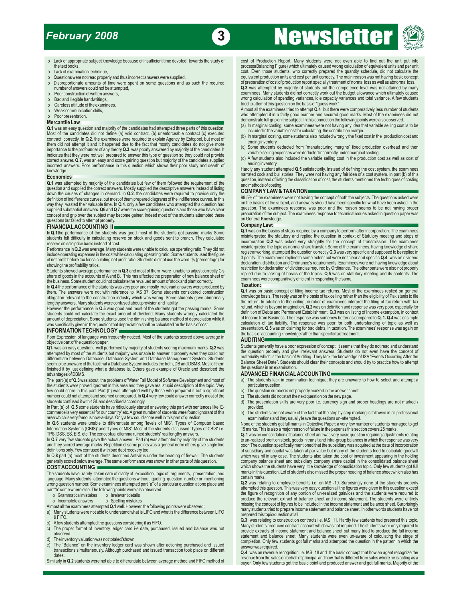# *February 2008*

# **<sup>3</sup>** Newsletter



- 
- 
- 
- o Disproportionate amounts of time were spent on some questions and as such the required number of answers could not be attempted,
- 
- 
- 

The section of the candidates had attempted three parts of this question.<br> **A.1** was an easy question and majority of the candidates had attempted three parts of this question.<br> **A.1** was an easy question and majority of t

FORT COMPANY LAW & TAXATION COMPANY COMPANY AND TAXATION COMPANY CONFORT THE BASIC OF THE SUBJECTS. The questions asked were definition of indifference curves, but most of them prepared diagrams of the indifference curves. supplied substantial answers. Q6 and Q 7 were the score gaining questions and those who have clear question. The examinees response was poor and the reason seems to be not having proper<br>concept and grip over the subject ma concept and grip over the subject may become gainer. Indeed most of the students attempted these preparation of the subject. The examinees response to technical issues asked in question paper was<br>questions but failed to at

obligation relevant to the construction industry which was wrong. Some students gave abnormally lengthy answers. Many students were confused about provision and liability.

However the performance in Q.5 was good and most of the students got the passing marks. Some students could not calculate the exact amount of depreciation. Some students used the diminishing balance method of depreciation

For Expression paper.<br> **Q1**, was an easy question, well performed by majority of students scoring maximum marks. **Q.2** was Q1. was an easy question, well performed by majority of students scoring maximum marks. Q.2 was<br>attempted by most of the students but majority was unable to answer it properly even they could not<br>attempted by most of the s

the students were proved ignorant in this area and they gave real stupid description of the topic. Very sparticular question.<br>few could score in this part. Part (b) was attempted well by those who prepared it but a signifi number could not attempt and seemed unprepared. In **Q.4** very few could answer correctly most of the c) The students did not start the next question on the new page.

In Part (a) of **Q.5** some students have ridiculously started answering this part with sentences like 'E- provided.

Information Systems (CBIS)' and 'Types of MIS'. Most of the students discussed 'Types of CBIS' i.e. 15 marks. This is also a major reason of failure in the paper as this section covers 25 marks.

The students have rarely taken care of clarity of exposition, logic of arguments, presentation, and marks in this c<br>Indiana The students etterated the suscition without availing avaction sumboses mentioning. Certain marks language. Many students attempted the questions without quoting question number or mentioning certain marks.<br>wrong question number. Some examinees attempted part "a" of a particular question at one place and Q.2 was relati wrong question number. Some examinees attempted part "a" of a particular question at one place and<br>part "b" some where else. The following points were also observed:

- 
- 

- 
- 

o Lack of appropriate subject knowledge because of insufficient time devoted towards the study of cost of Production Report. Many students were not even able to find out the unit put into process (Balancing Figure) which u o Lack of examination technique, did not calculate the cost. Even those students, who correctly prepared the quantity schedule, did not calculate the cost. Even those students, who correctly prepared the quantity schedule, equivalent production units and cost per unit correctly. The main reason was not having basic concept<br>of preparation of cost of production report specially treatment of normal loss as well as abnormal loss.

number of answers could not be attempted,<br>
Poor construction of written answers,<br>
Poor construction of written answers,<br>
Ca.3 was attempted by majority of students but the competence level was not attained by many<br>
examine o Poor construction of written answers, which was a state of the state of the state of the state of the state of the state of the state of the state of the state of the state of the state of the state of the state of the s o Bad and illegible handwritings,<br>
o Careless attitude of the examinees,<br>
o Weak communication skills, the examinees work" or Weak communication skills,

O Weak communication skills, who attempted it in a fairly good manner and secured good marks. Most of the examinees tried to attempt Q.4 but there were comparatively less number of students who attempted it in a fairly goo

- 
- 
- 
- 

Economics<br>
Economics<br>
C.1 was attempted by majority of the candidates but few of them followed the requirement of the<br>
Q.1 was attempted by majority of the candidates but few of them followed the requirement of the<br>
Q.1 wa

99.5% of the examinees were not having the concept of both the subjects. The questions asked were on the basics of the subject, and answers should have been specific for what have been asked in the

**FINANCIALACCOUNTING II**<br>In Q.1 the performance of the students was good most of the students got passing marks Some<br>students felt difficulty in calculating reserve on stock and goods sent to branch. They calculated misint students felt difficulty in calculating reserve on stock and goods sent to branch. They calculated<br>reserve on sale price basis instead of cost.<br>The valuents were unable to calculate operating ratio. They did not<br>reserve on

them. The answers were not with reference to IAS 37. Some students considered construction<br>obligation relevant to the examinees replied on general the answers were not with reference to IAS 37. Some students considered con lengthy answers. Many students were confused about provision and liability. the return in addition to the ceiling, number of examinees interpret the filing of tax return with tax<br>However the performance in Q.5 was good and amount of depreciation. Some students used the diminishing balance method of depreciation while it of Income from Business. The response was somehow better as compared to Q. 1. Q.4 was of simple<br>was specifically given in t INFORMATION TECHNOLOGY **CONSIDENTIAL CONSIDERATION INCORPORTION** TECHNOLOGY **CONSIDERATION INCORPORTION** TECHNOLOGY **CONSIDERATION** TECHNOLOGY **CONSIDERATION** TECHNOLOGY **CONSIDERATION** TECHNOLOGY **CONSIDERATION** TECHNOLOG

**AUDITING**<br>Students generally have a poor expression of concept. It seems that they do not read and understand

a) The students lack in examination technique; they are unaware to how to select and attempt a

- 
- 
- students did not start the next question on the new page.<br>
c) The students did not start the next question on the new page.<br>
(a) The presentation skills are very poor i.e. currency sign and proper headings are not marked /
- commerce is very essential for our country' etc. A great number of students were found ignorant of this elected that students are not aware of the fact that the step by step marking is followed in all professional area whi area which is very famous now-a-days. Only a few could score well in this part of question. examinations and they usually leave the questions un-attempted.

None of the students got full marks in Objective Paper; a very few number of students managed to get 15 marks. This is also a major reason of failure in the paper as this section covers 25 marks.

TPS, DSS, ES, EIS, etc. The conceptual dilemma ruined students' real lengthy answers.<br>In Q.7 very few students gave the actual answer. Part (b) was attempted by majority of the students to un-realized profit on stock, good In Q.7 very few students gave the actual answer . Part (b) was attempted by majority of the students to un-realized profit on stock, goods in transit and intra-group balances in which the response was very and they scored and they scored average marks. Repetition of same points was a general norm others gave single line poor. The question specifically mentioned that the subsidiary was acquired at the date of incorporation<br>definitions only. In Q.8 part (a) most of the students described Antivirus under the heading of firewall. The students which was nil in any case. The students also taken the cost of investment appearing in the holding generally scored below generally scored below average. The same performance was shown in other parts of this question. Company balance sheet and subsidiary company share capital in the consolidated balance sheet and subsidiary company share capi

part "b" some where else. The following points were also observed: attempted this question. This was very easy question all the figures were given in this question except the figure of recognition of any portion of un-real 0 Grammatical mistakes o Irrelevant details<br>
o Grammatical mistakes by the figure of recognition of any portion of un-realized gain/loss and the students were required to<br>
o Incomplete answers of Dalamce Shelmen and balanc

We students were not able to understand what is Li-D and what is the direct of the distriction and EC or and What is the Data one of the subject on at all.<br>
A EFFO.<br>
2. The propared this topic question contracts i.e. IAS 1